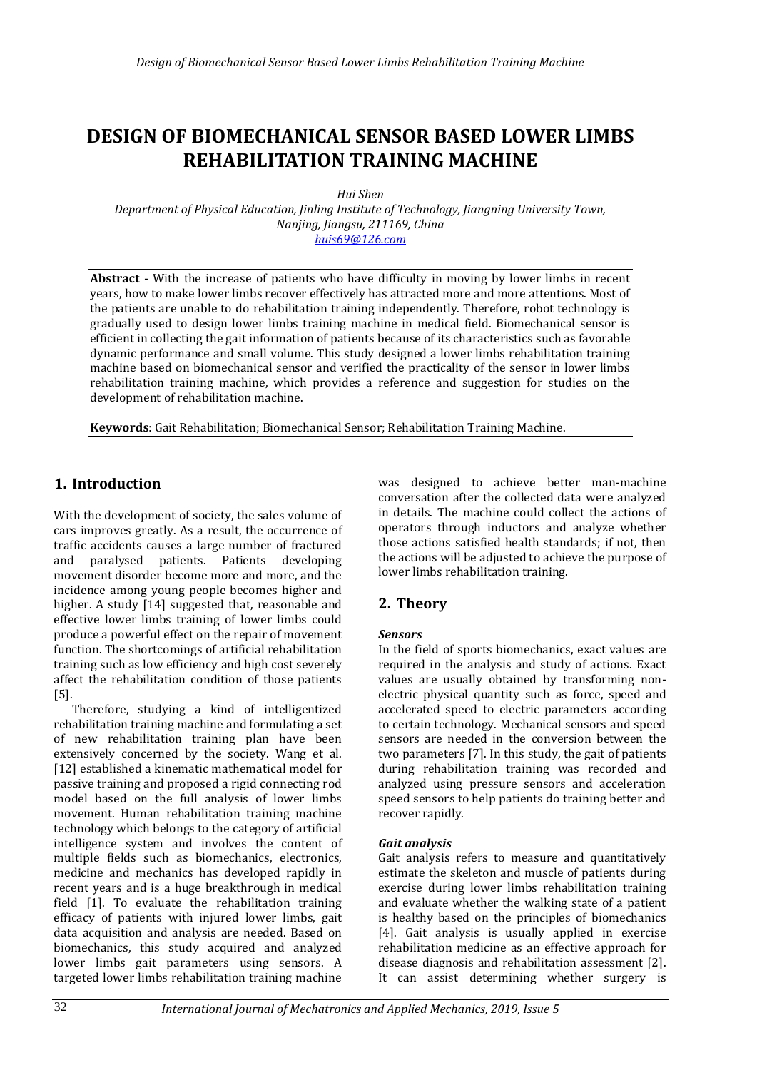# **DESIGN OF BIOMECHANICAL SENSOR BASED LOWER LIMBS REHABILITATION TRAINING MACHINE**

*Hui Shen*

*Department of Physical Education, Jinling Institute of Technology, Jiangning University Town, Nanjing, Jiangsu, 211169, China [huis69@126.com](mailto:huis69@126.com)*

**Abstract** - With the increase of patients who have difficulty in moving by lower limbs in recent years, how to make lower limbs recover effectively has attracted more and more attentions. Most of the patients are unable to do rehabilitation training independently. Therefore, robot technology is gradually used to design lower limbs training machine in medical field. Biomechanical sensor is efficient in collecting the gait information of patients because of its characteristics such as favorable dynamic performance and small volume. This study designed a lower limbs rehabilitation training machine based on biomechanical sensor and verified the practicality of the sensor in lower limbs rehabilitation training machine, which provides a reference and suggestion for studies on the development of rehabilitation machine.

**Keywords**: Gait Rehabilitation; Biomechanical Sensor; Rehabilitation Training Machine.

## **1. Introduction**

With the development of society, the sales volume of cars improves greatly. As a result, the occurrence of traffic accidents causes a large number of fractured and paralysed patients. Patients developing movement disorder become more and more, and the incidence among young people becomes higher and higher. A study [14] suggested that, reasonable and effective lower limbs training of lower limbs could produce a powerful effect on the repair of movement function. The shortcomings of artificial rehabilitation training such as low efficiency and high cost severely affect the rehabilitation condition of those patients [5].

Therefore, studying a kind of intelligentized rehabilitation training machine and formulating a set of new rehabilitation training plan have been extensively concerned by the society. Wang et al. [12] established a kinematic mathematical model for passive training and proposed a rigid connecting rod model based on the full analysis of lower limbs movement. Human rehabilitation training machine technology which belongs to the category of artificial intelligence system and involves the content of multiple fields such as biomechanics, electronics, medicine and mechanics has developed rapidly in recent years and is a huge breakthrough in medical field [1]. To evaluate the rehabilitation training efficacy of patients with injured lower limbs, gait data acquisition and analysis are needed. Based on biomechanics, this study acquired and analyzed lower limbs gait parameters using sensors. A targeted lower limbs rehabilitation training machine

was designed to achieve better man-machine conversation after the collected data were analyzed in details. The machine could collect the actions of operators through inductors and analyze whether those actions satisfied health standards; if not, then the actions will be adjusted to achieve the purpose of lower limbs rehabilitation training.

## **2. Theory**

#### *Sensors*

In the field of sports biomechanics, exact values are required in the analysis and study of actions. Exact values are usually obtained by transforming nonelectric physical quantity such as force, speed and accelerated speed to electric parameters according to certain technology. Mechanical sensors and speed sensors are needed in the conversion between the two parameters [7]. In this study, the gait of patients during rehabilitation training was recorded and analyzed using pressure sensors and acceleration speed sensors to help patients do training better and recover rapidly.

#### *Gait analysis*

Gait analysis refers to measure and quantitatively estimate the skeleton and muscle of patients during exercise during lower limbs rehabilitation training and evaluate whether the walking state of a patient is healthy based on the principles of biomechanics [4]. Gait analysis is usually applied in exercise rehabilitation medicine as an effective approach for disease diagnosis and rehabilitation assessment [2]. It can assist determining whether surgery is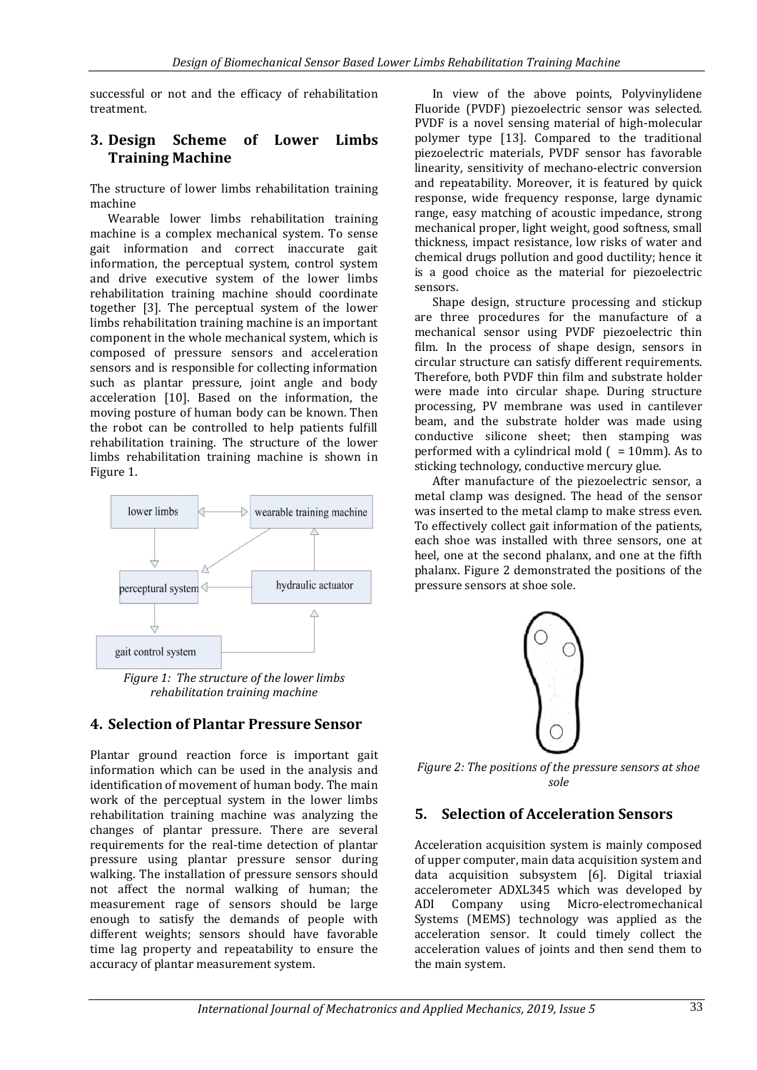successful or not and the efficacy of rehabilitation treatment.

#### **3. Design Scheme of Lower Limbs Training Machine**

The structure of lower limbs rehabilitation training machine

Wearable lower limbs rehabilitation training machine is a complex mechanical system. To sense gait information and correct inaccurate gait information, the perceptual system, control system and drive executive system of the lower limbs rehabilitation training machine should coordinate together [3]. The perceptual system of the lower limbs rehabilitation training machine is an important component in the whole mechanical system, which is composed of pressure sensors and acceleration sensors and is responsible for collecting information such as plantar pressure, joint angle and body acceleration [10]. Based on the information, the moving posture of human body can be known. Then the robot can be controlled to help patients fulfill rehabilitation training. The structure of the lower limbs rehabilitation training machine is shown in Figure 1.



*Figure 1: The structure of the lower limbs rehabilitation training machine*

## **4. Selection of Plantar Pressure Sensor**

Plantar ground reaction force is important gait information which can be used in the analysis and identification of movement of human body. The main work of the perceptual system in the lower limbs rehabilitation training machine was analyzing the changes of plantar pressure. There are several requirements for the real-time detection of plantar pressure using plantar pressure sensor during walking. The installation of pressure sensors should not affect the normal walking of human; the measurement rage of sensors should be large enough to satisfy the demands of people with different weights; sensors should have favorable time lag property and repeatability to ensure the accuracy of plantar measurement system.

In view of the above points, Polyvinylidene Fluoride (PVDF) piezoelectric sensor was selected. PVDF is a novel sensing material of high-molecular polymer type [13]. Compared to the traditional piezoelectric materials, PVDF sensor has favorable linearity, sensitivity of mechano-electric conversion and repeatability. Moreover, it is featured by quick response, wide frequency response, large dynamic range, easy matching of acoustic impedance, strong mechanical proper, light weight, good softness, small thickness, impact resistance, low risks of water and chemical drugs pollution and good ductility; hence it is a good choice as the material for piezoelectric sensors.

Shape design, structure processing and stickup are three procedures for the manufacture of a mechanical sensor using PVDF piezoelectric thin film. In the process of shape design, sensors in circular structure can satisfy different requirements. Therefore, both PVDF thin film and substrate holder were made into circular shape. During structure processing, PV membrane was used in cantilever beam, and the substrate holder was made using conductive silicone sheet; then stamping was performed with a cylindrical mold  $( = 10$ mm). As to sticking technology, conductive mercury glue.

After manufacture of the piezoelectric sensor, a metal clamp was designed. The head of the sensor was inserted to the metal clamp to make stress even. To effectively collect gait information of the patients, each shoe was installed with three sensors, one at heel, one at the second phalanx, and one at the fifth phalanx. Figure 2 demonstrated the positions of the pressure sensors at shoe sole.



*Figure 2: The positions of the pressure sensors at shoe sole*

## **5. Selection of Acceleration Sensors**

Acceleration acquisition system is mainly composed of upper computer, main data acquisition system and data acquisition subsystem [6]. Digital triaxial accelerometer ADXL345 which was developed by ADI Company using Micro-electromechanical Systems (MEMS) technology was applied as the acceleration sensor. It could timely collect the acceleration values of joints and then send them to the main system.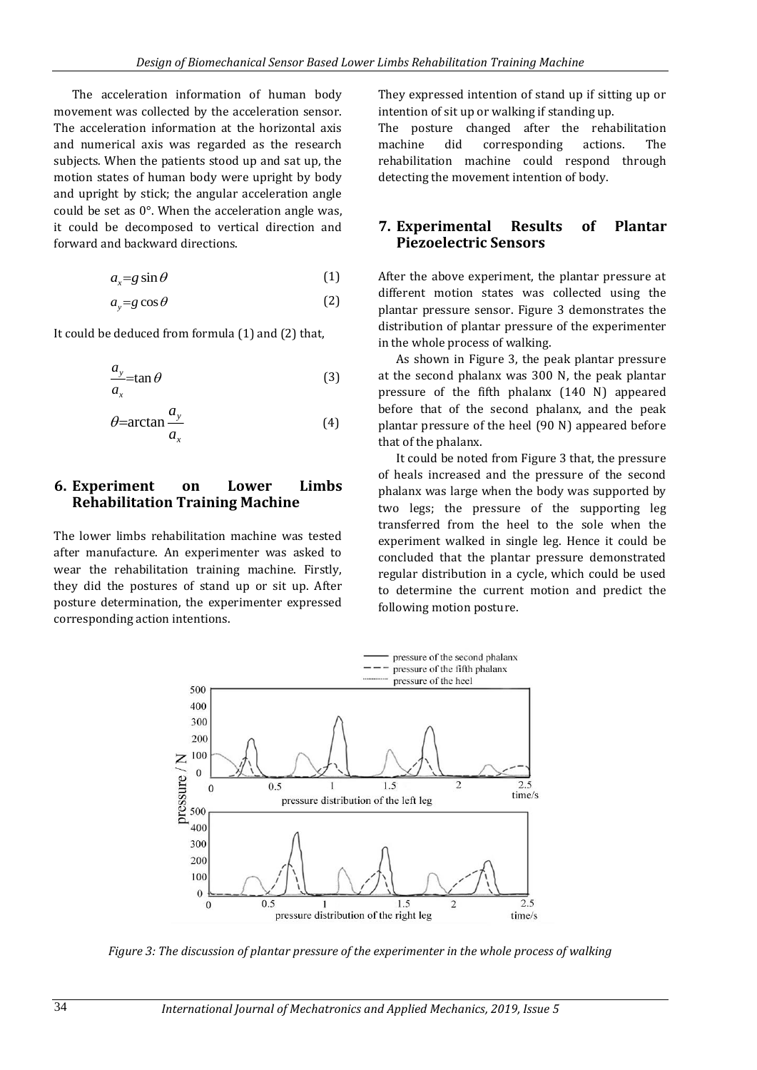The acceleration information of human body movement was collected by the acceleration sensor. The acceleration information at the horizontal axis and numerical axis was regarded as the research subjects. When the patients stood up and sat up, the motion states of human body were upright by body and upright by stick; the angular acceleration angle could be set as 0°. When the acceleration angle was, it could be decomposed to vertical direction and forward and backward directions.

$$
a_x = g \sin \theta \tag{1}
$$

$$
a_y = g \cos \theta \tag{2}
$$

It could be deduced from formula (1) and (2) that,

$$
\frac{a_y}{a_x} = \tan \theta \tag{3}
$$

$$
\theta = \arctan \frac{a_y}{a_x} \tag{4}
$$

#### **6. Experiment on Lower Limbs Rehabilitation Training Machine**

The lower limbs rehabilitation machine was tested after manufacture. An experimenter was asked to wear the rehabilitation training machine. Firstly, they did the postures of stand up or sit up. After posture determination, the experimenter expressed corresponding action intentions.

They expressed intention of stand up if sitting up or intention of sit up or walking if standing up.

The posture changed after the rehabilitation machine did corresponding actions. The rehabilitation machine could respond through detecting the movement intention of body.

#### **7. Experimental Results of Plantar Piezoelectric Sensors**

After the above experiment, the plantar pressure at different motion states was collected using the plantar pressure sensor. Figure 3 demonstrates the distribution of plantar pressure of the experimenter in the whole process of walking.

As shown in Figure 3, the peak plantar pressure at the second phalanx was 300 N, the peak plantar pressure of the fifth phalanx (140 N) appeared before that of the second phalanx, and the peak plantar pressure of the heel (90 N) appeared before that of the phalanx.

It could be noted from Figure 3 that, the pressure of heals increased and the pressure of the second phalanx was large when the body was supported by two legs; the pressure of the supporting leg transferred from the heel to the sole when the experiment walked in single leg. Hence it could be concluded that the plantar pressure demonstrated regular distribution in a cycle, which could be used to determine the current motion and predict the following motion posture.



*Figure 3: The discussion of plantar pressure of the experimenter in the whole process of walking*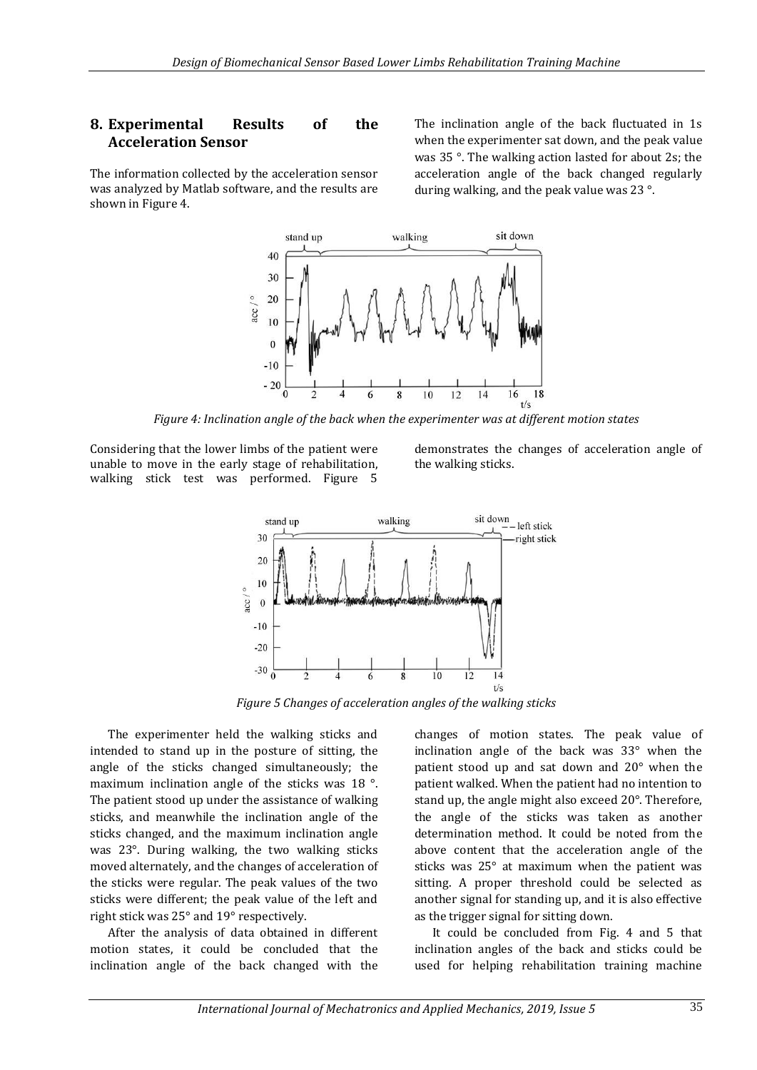#### **8. Experimental Results of the Acceleration Sensor**

The information collected by the acceleration sensor was analyzed by Matlab software, and the results are shown in Figure 4.

The inclination angle of the back fluctuated in 1s when the experimenter sat down, and the peak value was 35 °. The walking action lasted for about 2s; the acceleration angle of the back changed regularly during walking, and the peak value was 23 °.



*Figure 4: Inclination angle of the back when the experimenter was at different motion states*

Considering that the lower limbs of the patient were unable to move in the early stage of rehabilitation, walking stick test was performed. Figure 5 demonstrates the changes of acceleration angle of the walking sticks.



*Figure 5 Changes of acceleration angles of the walking sticks*

The experimenter held the walking sticks and intended to stand up in the posture of sitting, the angle of the sticks changed simultaneously; the maximum inclination angle of the sticks was 18 °. The patient stood up under the assistance of walking sticks, and meanwhile the inclination angle of the sticks changed, and the maximum inclination angle was 23°. During walking, the two walking sticks moved alternately, and the changes of acceleration of the sticks were regular. The peak values of the two sticks were different; the peak value of the left and right stick was 25° and 19° respectively.

After the analysis of data obtained in different motion states, it could be concluded that the inclination angle of the back changed with the changes of motion states. The peak value of inclination angle of the back was 33° when the patient stood up and sat down and 20° when the patient walked. When the patient had no intention to stand up, the angle might also exceed 20°. Therefore, the angle of the sticks was taken as another determination method. It could be noted from the above content that the acceleration angle of the sticks was 25° at maximum when the patient was sitting. A proper threshold could be selected as another signal for standing up, and it is also effective as the trigger signal for sitting down.

It could be concluded from Fig. 4 and 5 that inclination angles of the back and sticks could be used for helping rehabilitation training machine